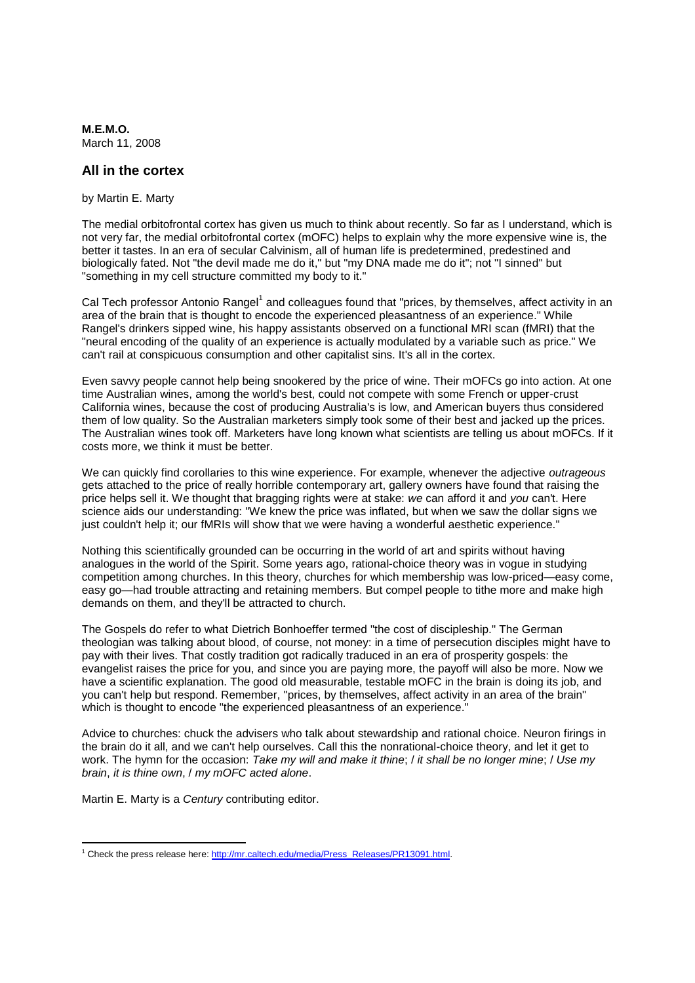**M.E.M.O.** March 11, 2008

## **All in the cortex**

by Martin E. Marty

The medial orbitofrontal cortex has given us much to think about recently. So far as I understand, which is not very far, the medial orbitofrontal cortex (mOFC) helps to explain why the more expensive wine is, the better it tastes. In an era of secular Calvinism, all of human life is predetermined, predestined and biologically fated. Not "the devil made me do it," but "my DNA made me do it"; not "I sinned" but "something in my cell structure committed my body to it."

Cal Tech professor Antonio Rangel<sup>1</sup> and colleagues found that "prices, by themselves, affect activity in an area of the brain that is thought to encode the experienced pleasantness of an experience." While Rangel's drinkers sipped wine, his happy assistants observed on a functional MRI scan (fMRI) that the "neural encoding of the quality of an experience is actually modulated by a variable such as price." We can't rail at conspicuous consumption and other capitalist sins. It's all in the cortex.

Even savvy people cannot help being snookered by the price of wine. Their mOFCs go into action. At one time Australian wines, among the world's best, could not compete with some French or upper-crust California wines, because the cost of producing Australia's is low, and American buyers thus considered them of low quality. So the Australian marketers simply took some of their best and jacked up the prices. The Australian wines took off. Marketers have long known what scientists are telling us about mOFCs. If it costs more, we think it must be better.

We can quickly find corollaries to this wine experience. For example, whenever the adjective *outrageous* gets attached to the price of really horrible contemporary art, gallery owners have found that raising the price helps sell it. We thought that bragging rights were at stake: *we* can afford it and *you* can't. Here science aids our understanding: "We knew the price was inflated, but when we saw the dollar signs we just couldn't help it; our fMRIs will show that we were having a wonderful aesthetic experience."

Nothing this scientifically grounded can be occurring in the world of art and spirits without having analogues in the world of the Spirit. Some years ago, rational-choice theory was in vogue in studying competition among churches. In this theory, churches for which membership was low-priced—easy come, easy go—had trouble attracting and retaining members. But compel people to tithe more and make high demands on them, and they'll be attracted to church.

The Gospels do refer to what Dietrich Bonhoeffer termed "the cost of discipleship." The German theologian was talking about blood, of course, not money: in a time of persecution disciples might have to pay with their lives. That costly tradition got radically traduced in an era of prosperity gospels: the evangelist raises the price for you, and since you are paying more, the payoff will also be more. Now we have a scientific explanation. The good old measurable, testable mOFC in the brain is doing its job, and you can't help but respond. Remember, "prices, by themselves, affect activity in an area of the brain" which is thought to encode "the experienced pleasantness of an experience."

Advice to churches: chuck the advisers who talk about stewardship and rational choice. Neuron firings in the brain do it all, and we can't help ourselves. Call this the nonrational-choice theory, and let it get to work. The hymn for the occasion: *Take my will and make it thine*; / *it shall be no longer mine*; / *Use my brain*, *it is thine own*, / *my mOFC acted alone*.

Martin E. Marty is a *Century* contributing editor.

<sup>&</sup>lt;sup>1</sup> Check the press release here: http://mr.caltech.edu/media/Press\_Releases/PR13091.html.